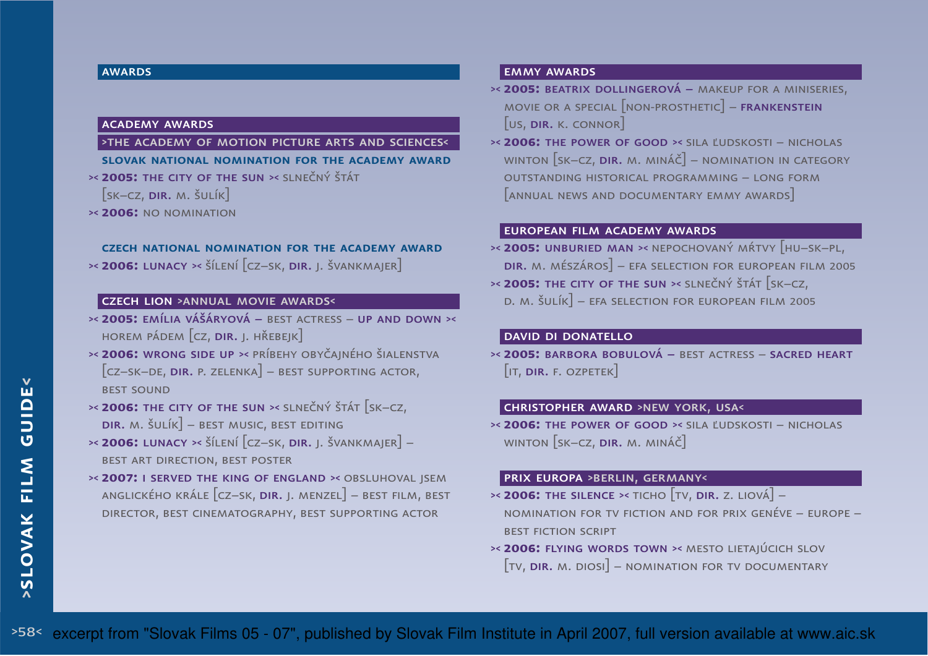#### **AWARDS**

#### academy awards

>the academy of motion picture arts and sciences<**slovak national nomination for the academy award**

- >< **2005:** the city of the sun >< slnečný štát
- $\left[\mathsf{s}\mathsf{k}\mathsf{-}\mathsf{c}\mathsf{z},\mathsf{n}\mathsf{n}\mathsf{n}\mathsf{n}$ . Šulík $\left]\right.$
- >< **2006:** no nomination

#### **czech national nomination for the academy award**

>< **2006:** lunacy >< šílení [cz–sk, dir. j. švankmajer]

# czech lion >annual movie awards<

- >< **2005:** emília vášáryová best actress up and down >< horem pádem  $[\mathrm{cz},\, \textsf{dir.}$  J. hřebejk $]$
- >< **2006:** wrong side up >< príbehy obyčajného šialenstva $\left[$ cz–sk–de, **dir.** p. zelenka $\right]$  – best supporting actor, **BEST SOUND**
- >< **2006:** the city of the sun >< slnečný štát [sk–cz,  $\textsf{DIR.~M.~\check{S}}$ ulík $\textcolor{black}{\rceil}$  – best music, best editing
- >< **2006:** lunacy >< šílení [cz–sk, dir. j. švankmajer] best art direction, best poster
- >< **2007:** <sup>i</sup> served the king of england >< obsluhoval jsem anglického krále [cz–sk, **dir.** j. menzel] – best film, best director, best cinematography, best supporting actor

#### emmy awards

- >< **2005:** beatrix dollingerová makeup for a miniseries, MOVIE OR A SPECIAL  $\lceil$  NON-PROSTHETIC $\rceil$  – **FRANKENSTEIN**  $\left[\mathsf{us},\mathsf{dir}.\mathsf{\scriptstyle K}.\mathsf{\scriptstyle CONNOR}\right]$
- >< **2006:** the power of good >< sila ľudskosti nicholas winton [sk–cz,  $\bm{{\sf o}}$ ir. m. mináč] – nomination in category outstanding historical programming – long form [annual news and documentary emmy awards]

#### european film academy awards

- >< **2005:** unburied man >< nepochovaný mŕtvy [hu–sk–pl,  $\textsf{DIR.~}$ M. MÉSZÁROS $]-$  EFA SELECTION FOR EUROPEAN FILM 2005
- >< **2005:** the city of the sun >< slnečný štát [sk–cz, d. m. šulík] – efa selection for european film 2005

# david di donatello

 >< **2005:** barbora bobulová – best actress – sacred heart  $\left[\right.$ it, <mark>dir.</mark> f. ozpetek $\left.\right]$ 

#### christopher award >new york, usa<

>< **2006:** the power of good >< sila ľudskosti – nicholas winton [sk–cz, dir. m. mináč]

#### prix europa >berlin, germany<

- $\approx$  **2006:** The silence  $\approx$  ticho  $[\text{tv}, \text{dir}, \text{z}, \text{liová}]$ nomination for tv fiction and for prix genéve – europe –best fiction script
- >< **2006:** flying words town >< mesto lietajúcich slov  $\left[\mathrm{\tau v}$ , **dir.** m. diosi] – nomination for tv documentary